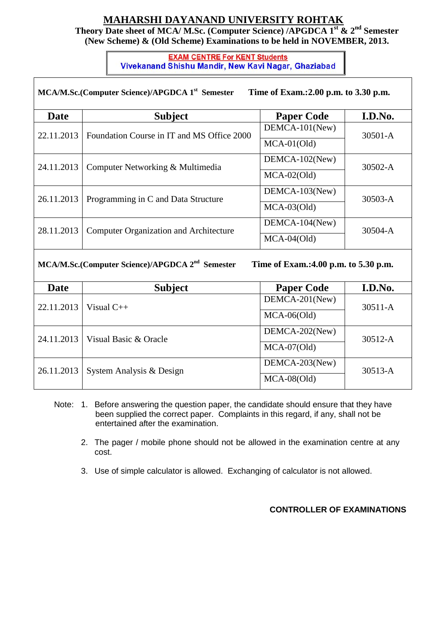## **MAHARSHI DAYANAND UNIVERSITY ROHTAK**

**Theory Date sheet of MCA/ M.Sc. (Computer Science) /APGDCA 1st & 2nd Semester (New Scheme) & (Old Scheme) Examinations to be held in NOVEMBER, 2013.**

## **EXAM CENTRE For KENT Students**<br>Vivekanand Shishu Mandir, New Kavi Nagar, Ghaziabad

| MCA/M.Sc.(Computer Science)/APGDCA 1 <sup>st</sup> Semester<br>Time of Exam.: 2.00 p.m. to 3.30 p.m. |                                               |                   |             |  |  |
|------------------------------------------------------------------------------------------------------|-----------------------------------------------|-------------------|-------------|--|--|
| <b>Date</b>                                                                                          | <b>Subject</b>                                | <b>Paper Code</b> | I.D.No.     |  |  |
| 22.11.2013                                                                                           | Foundation Course in IT and MS Office 2000    | $DEMCA-101$ (New) | $30501 - A$ |  |  |
|                                                                                                      |                                               | $MCA-01(Old)$     |             |  |  |
| 24.11.2013                                                                                           | Computer Networking & Multimedia              | $DEMCA-102$ (New) | $30502 - A$ |  |  |
|                                                                                                      |                                               | $MCA-02(Old)$     |             |  |  |
| 26.11.2013                                                                                           | Programming in C and Data Structure           | $DEMCA-103$ (New) | $30503 - A$ |  |  |
|                                                                                                      |                                               | $MCA-03(Old)$     |             |  |  |
| 28.11.2013                                                                                           | <b>Computer Organization and Architecture</b> | DEMCA-104(New)    | $30504 - A$ |  |  |
|                                                                                                      |                                               | $MCA-04(Old)$     |             |  |  |

**MCA/M.Sc.(Computer Science)/APGDCA 2nd**

 **Semester Time of Exam.:4.00 p.m. to 5.30 p.m.**

| <b>Date</b> | <b>Subject</b>           | <b>Paper Code</b> | I.D.No.     |
|-------------|--------------------------|-------------------|-------------|
| 22.11.2013  | Visual $C_{++}$          | DEMCA-201(New)    | $30511 - A$ |
|             |                          | $MCA-06(Old)$     |             |
| 24.11.2013  | Visual Basic & Oracle    | DEMCA-202(New)    | $30512 - A$ |
|             |                          | $MCA-07(Old)$     |             |
| 26.11.2013  | System Analysis & Design | DEMCA-203(New)    | $30513 - A$ |
|             |                          | $MCA-08(Old)$     |             |

- Note: 1. Before answering the question paper, the candidate should ensure that they have been supplied the correct paper. Complaints in this regard, if any, shall not be entertained after the examination.
	- 2. The pager / mobile phone should not be allowed in the examination centre at any cost.
	- 3. Use of simple calculator is allowed. Exchanging of calculator is not allowed.

## **CONTROLLER OF EXAMINATIONS**